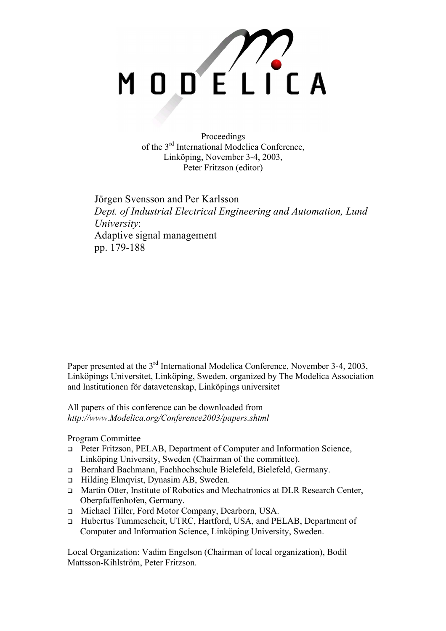

Proceedings of the 3rd International Modelica Conference, Linköping, November 3-4, 2003, Peter Fritzson (editor)

Jörgen Svensson and Per Karlsson *Dept. of Industrial Electrical Engineering and Automation, Lund University*: Adaptive signal management pp. 179-188

Paper presented at the 3<sup>rd</sup> International Modelica Conference, November 3-4, 2003, Linköpings Universitet, Linköping, Sweden, organized by The Modelica Association and Institutionen för datavetenskap, Linköpings universitet

All papers of this conference can be downloaded from *http://www.Modelica.org/Conference2003/papers.shtml* 

Program Committee

- Peter Fritzson, PELAB, Department of Computer and Information Science, Linköping University, Sweden (Chairman of the committee).
- Bernhard Bachmann, Fachhochschule Bielefeld, Bielefeld, Germany.
- □ Hilding Elmqvist, Dynasim AB, Sweden.
- □ Martin Otter, Institute of Robotics and Mechatronics at DLR Research Center, Oberpfaffenhofen, Germany.
- Michael Tiller, Ford Motor Company, Dearborn, USA.
- Hubertus Tummescheit, UTRC, Hartford, USA, and PELAB, Department of Computer and Information Science, Linköping University, Sweden.

Local Organization: Vadim Engelson (Chairman of local organization), Bodil Mattsson-Kihlström, Peter Fritzson.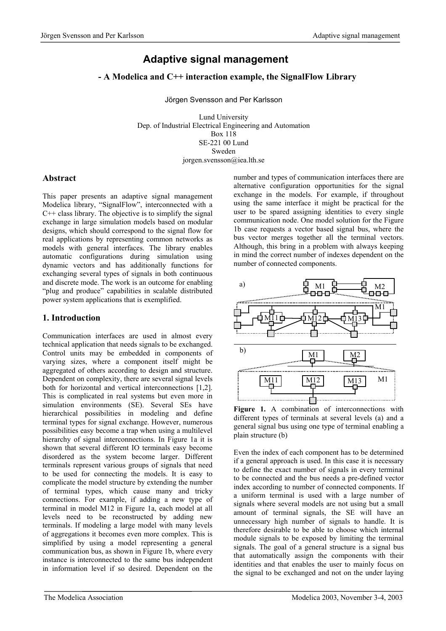# **Adaptive signal management**

## **- A Modelica and C++ interaction example, the SignalFlow Library**

Jörgen Svensson and Per Karlsson

Lund University Dep. of Industrial Electrical Engineering and Automation Box 118 SE-221 00 Lund Sweden jorgen.svensson@iea.lth.se

### **Abstract**

This paper presents an adaptive signal management Modelica library, "SignalFlow", interconnected with a C++ class library. The objective is to simplify the signal exchange in large simulation models based on modular designs, which should correspond to the signal flow for real applications by representing common networks as models with general interfaces. The library enables automatic configurations during simulation using dynamic vectors and has additionally functions for exchanging several types of signals in both continuous and discrete mode. The work is an outcome for enabling "plug and produce" capabilities in scalable distributed power system applications that is exemplified.

## **1. Introduction**

Communication interfaces are used in almost every technical application that needs signals to be exchanged. Control units may be embedded in components of varying sizes, where a component itself might be aggregated of others according to design and structure. Dependent on complexity, there are several signal levels both for horizontal and vertical interconnections [1,2]. This is complicated in real systems but even more in simulation environments (SE). Several SEs have hierarchical possibilities in modeling and define terminal types for signal exchange. However, numerous possibilities easy become a trap when using a multilevel hierarchy of signal interconnections. In Figure 1a it is shown that several different IO terminals easy become disordered as the system become larger. Different terminals represent various groups of signals that need to be used for connecting the models. It is easy to complicate the model structure by extending the number of terminal types, which cause many and tricky connections. For example, if adding a new type of terminal in model M12 in Figure 1a, each model at all levels need to be reconstructed by adding new terminals. If modeling a large model with many levels of aggregations it becomes even more complex. This is simplified by using a model representing a general communication bus, as shown in Figure 1b, where every instance is interconnected to the same bus independent in information level if so desired. Dependent on the number and types of communication interfaces there are alternative configuration opportunities for the signal exchange in the models. For example, if throughout using the same interface it might be practical for the user to be spared assigning identities to every single communication node. One model solution for the Figure 1b case requests a vector based signal bus, where the bus vector merges together all the terminal vectors. Although, this bring in a problem with always keeping in mind the correct number of indexes dependent on the number of connected components.



Figure 1. A combination of interconnections with different types of terminals at several levels (a) and a general signal bus using one type of terminal enabling a plain structure (b)

Even the index of each component has to be determined if a general approach is used. In this case it is necessary to define the exact number of signals in every terminal to be connected and the bus needs a pre-defined vector index according to number of connected components. If a uniform terminal is used with a large number of signals where several models are not using but a small amount of terminal signals, the SE will have an unnecessary high number of signals to handle. It is therefore desirable to be able to choose which internal module signals to be exposed by limiting the terminal signals. The goal of a general structure is a signal bus that automatically assign the components with their identities and that enables the user to mainly focus on the signal to be exchanged and not on the under laying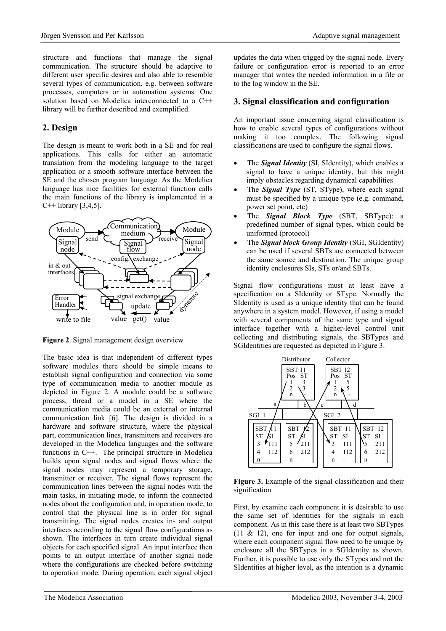structure and functions that manage the signal communication. The structure should be adaptive to different user specific desires and also able to resemble several types of communication, e.g. between software processes, computers or in automation systems. One solution based on Modelica interconnected to a C++ library will be further described and exemplified.

## **2. Design**

The design is meant to work both in a SE and for real applications. This calls for either an automatic translation from the modeling language to the target application or a smooth software interface between the SE and the chosen program language. As the Modelica language has nice facilities for external function calls the main functions of the library is implemented in a  $C++$  library [3,4,5].



**Figure 2**. Signal management design overview

The basic idea is that independent of different types software modules there should be simple means to establish signal configuration and connection via some type of communication media to another module as depicted in Figure 2. A module could be a software process, thread or a model in a SE where the communication media could be an external or internal communication link [6]. The design is divided in a hardware and software structure, where the physical part, communication lines, transmitters and receivers are developed in the Modelica languages and the software functions in C++. The principal structure in Modelica builds upon signal nodes and signal flows where the signal nodes may represent a temporary storage, transmitter or receiver. The signal flows represent the communication lines between the signal nodes with the main tasks, in initiating mode, to inform the connected nodes about the configuration and, in operation mode, to control that the physical line is in order for signal transmitting. The signal nodes creates in- and output interfaces according to the signal flow configurations as shown. The interfaces in turn create individual signal objects for each specified signal. An input interface then points to an output interface of another signal node where the configurations are checked before switching to operation mode. During operation, each signal object updates the data when trigged by the signal node. Every failure or configuration error is reported to an error manager that writes the needed information in a file or to the log window in the SE.

### **3. Signal classification and configuration**

An important issue concerning signal classification is how to enable several types of configurations without making it too complex. The following signal classifications are used to configure the signal flows.

- The *Signal Identity* (SI, SIdentity), which enables a signal to have a unique identity, but this might imply obstacles regarding dynamical capabilities
- The **Signal Type** (ST, SType), where each signal must be specified by a unique type (e.g. command, power set point, etc)
- The *Signal Block Type* (SBT, SBType): a predefined number of signal types, which could be uniformed (protocol)
- The *Signal block Group Identity* (SGI, SGIdentity) can be used if several SBTs are connected between the same source and destination. The unique group identity enclosures SIs, STs or/and SBTs.

Signal flow configurations must at least have a specification on a SIdentity or SType. Normally the SIdentity is used as a unique identity that can be found anywhere in a system model. However, if using a model with several components of the same type and signal interface together with a higher-level control unit collecting and distributing signals, the SBTypes and SGIdentities are requested as depicted in Figure 3.



**Figure 3.** Example of the signal classification and their signification

First, by examine each component it is desirable to use the same set of identities for the signals in each component. As in this case there is at least two SBTypes (11 & 12), one for input and one for output signals, where each component signal flow need to be unique by enclosure all the SBTypes in a SGIdentity as shown. Further, it is possible to use only the STypes and not the SIdentities at higher level, as the intention is a dynamic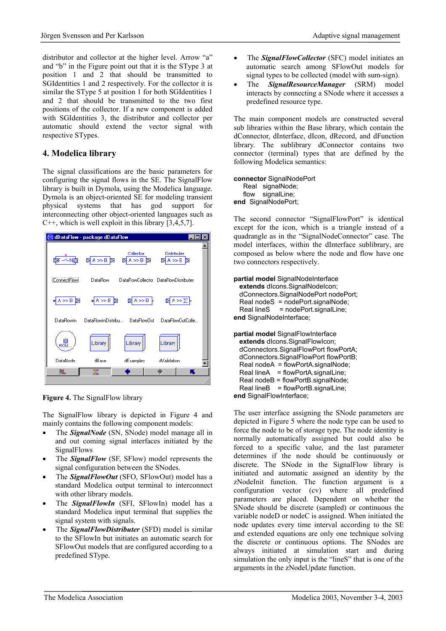distributor and collector at the higher level. Arrow "a" and "b" in the Figure point out that it is the SType 3 at position 1 and 2 that should be transmitted to SGIdentities 1 and 2 respectively. For the collector it is similar the SType 5 at position 1 for both SGI dentities 1 and 2 that should be transmitted to the two first positions of the collector. If a new component is added with SGIdentities 3, the distributor and collector per automatic should extend the vector signal with respective STypes.

### **4. Modelica library**

The signal classifications are the basic parameters for configuring the signal flows in the SE. The SignalFlow library is built in Dymola, using the Modelica language. Dymola is an object-oriented SE for modeling transient physical systems that has god support for interconnecting other object-oriented languages such as  $C++$ , which is well exploit in this library [3,4,5,7].



**Figure 4.** The SignalFlow library

The SignalFlow library is depicted in Figure 4 and mainly contains the following component models:

- The *SignalNode* (SN, SNode) model manage all in and out coming signal interfaces initiated by the SignalFlows
- The *SignalFlow* (SF, SFlow) model represents the signal configuration between the SNodes.
- The *SignalFlowOut* (SFO, SFlowOut) model has a standard Modelica output terminal to interconnect with other library models.
- The *SignalFlowIn* (SFI, SFlowIn) model has a standard Modelica input terminal that supplies the signal system with signals.
- The *SignalFlowDistributer* (SFD) model is similar to the SFlowIn but initiates an automatic search for SFlowOut models that are configured according to a predefined SType.
- The *SignalFlowCollector* (SFC) model initiates an automatic search among SFlowOut models for signal types to be collected (model with sum-sign).
- The *SignalResourceManager* (SRM) model interacts by connecting a SNode where it accesses a predefined resource type.

The main component models are constructed several sub libraries within the Base library, which contain the dConnector, dInterface, dIcon, dRecord, and dFunction library. The sublibrary dConnector contains two connector (terminal) types that are defined by the following Modelica semantics:

```
connector SignalNodePort 
    Real signalNode; 
  flow signalLine:
end SignalNodePort;
```
The second connector "SignalFlowPort" is identical except for the icon, which is a triangle instead of a quadrangle as in the "SignalNodeConnector" case. The model interfaces, within the dInterface sublibrary, are composed as below where the node and flow have one two connectors respectively.

```
partial model SignalNodeInterface 
  extends dIcons.SignalNodeIcon; 
  dConnectors.SignalNodePort nodePort; 
  Real nodeS = nodePort.signalNode; 
 Real lineS = nodePort.signalLine;
```
**end** SignalNodeInterface;

**partial model** SignalFlowInterface **extends** dIcons.SignalFlowIcon; dConnectors.SignalFlowPort flowPortA; dConnectors.SignalFlowPort flowPortB; Real nodeA = flowPortA.signalNode;  $Real lineA = flowPortA.size$  nall line A Real nodeB = flowPortB.signalNode; Real lineB = flowPortB.signalLine; **end** SignalFlowInterface;

The user interface assigning the SNode parameters are depicted in Figure 5 where the node type can be used to force the node to be of storage type. The node identity is normally automatically assigned but could also be forced to a specific value, and the last parameter determines if the node should be continuously or discrete. The SNode in the SignalFlow library is initiated and automatic assigned an identity by the zNodeInit function. The function argument is a configuration vector (cv) where all predefined parameters are placed. Dependent on whether the SNode should be discrete (sampled) or continuous the variable nodeD or nodeC is assigned. When initiated the node updates every time interval according to the SE and extended equations are only one technique solving the discrete or continuous options. The SNodes are always initiated at simulation start and during simulation the only input is the "lineS" that is one of the arguments in the zNodeUpdate function.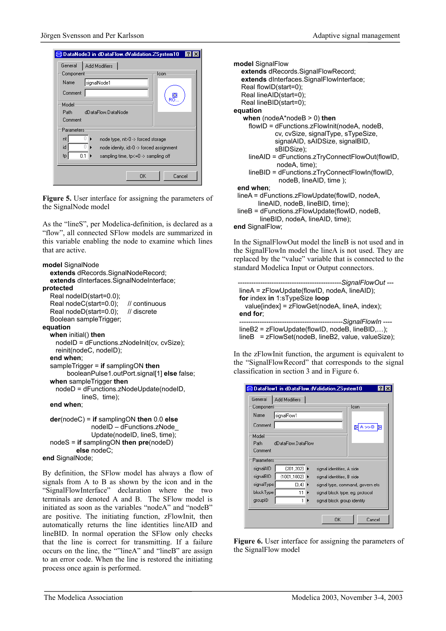

**Figure 5.** User interface for assigning the parameters of the SignalNode model

As the "lineS", per Modelica-definition, is declared as a "flow", all connected SFlow models are summarized in this variable enabling the node to examine which lines that are active.

```
model SignalNode 
   extends dRecords.SignalNodeRecord; 
   extends dInterfaces.SignalNodeInterface; 
protected 
   Real nodeID(start=0.0); 
  Real nodeC(start=0.0); // continuous
  Real nodeD(start=0.0); // discrete
   Boolean sampleTrigger; 
equation 
   when initial() then
     nodeID = dFunctions.zNodeInit(cv, cvSize); 
     reinit(nodeC, nodeID); 
   end when; 
   sampleTrigger = if samplingON then 
         booleanPulse1.outPort.signal[1] else false; 
   when sampleTrigger then
     nodeD = dFunctions.zNodeUpdate(nodeID, 
              lineS, time); 
   end when; 
   der(nodeC) = if samplingON then 0.0 else
                 nodeID – dFunctions.zNode_ 
                 Update(nodeID, lineS, time); 
   nodeS = if samplingON then pre(nodeD) 
            else nodeC;
```
**end** SignalNode;

By definition, the SFlow model has always a flow of signals from A to B as shown by the icon and in the "SignalFlowInterface" declaration where the two terminals are denoted A and B. The SFlow model is initiated as soon as the variables "nodeA" and "nodeB" are positive. The initiating function, zFlowInit, then automatically returns the line identities lineAID and lineBID. In normal operation the SFlow only checks that the line is correct for transmitting. If a failure occurs on the line, the ""lineA" and "lineB" are assign to an error code. When the line is restored the initiating process once again is performed.

```
model SignalFlow 
   extends dRecords.SignalFlowRecord; 
   extends dInterfaces.SignalFlowInterface; 
   Real flowID(start=0); 
   Real lineAID(start=0); 
   Real lineBID(start=0); 
equation 
    when (nodeA*nodeB > 0) then
      flowID = dFunctions.zFlowInit(nodeA, nodeB, 
               cv, cvSize, signalType, sTypeSize, 
               signalAID, sAIDSize, signalBID, 
               sBIDSize); 
      lineAID = dFunctions.zTryConnectFlowOut(flowID, 
               nodeA, time); 
      lineBID = dFunctions.zTryConnectFlowIn(flowID, 
                nodeB, lineAID, time ); 
  end when; 
  lineA = dFunctions.zFlowUpdate(flowID, nodeA, 
         lineAID, nodeB, lineBID, time); 
  lineB = dFunctions.zFlowUpdate(flowID, nodeB, 
          lineBID, nodeA, lineAID, time); 
end SignalFlow;
```
In the SignalFlowOut model the lineB is not used and in the SignalFlowIn model the lineA is not used. They are replaced by the "value" variable that is connected to the standard Modelica Input or Output connectors.

```
 ----------------------------------------------SignalFlowOut --- 
 lineA = zFlowUpdate(flowID, nodeA, lineAID); 
 for index in 1:sTypeSize loop
   value[index] = zFlowGet(nodeA, lineA, index); 
 end for; 
                                                ----------------------------------------------SignalFlowIn ---- 
 lineB2 = zFlowUpdate(flowID, nodeB, lineBID,…); 
 lineB = zFlowSet(nodeB, lineB2, value, valueSize);
```
In the zFlowInit function, the argument is equivalent to the "SignalFlowRecord" that corresponds to the signal classification in section 3 and in Figure 6.

|            |                    | <mark>⊜</mark> DataFlow1 in dDataFlow.dValidation.ZSystem10 |           | - ? |
|------------|--------------------|-------------------------------------------------------------|-----------|-----|
| General    | Add Modifiers      |                                                             |           |     |
| Component  |                    |                                                             | lcon      |     |
| Name       | signalFlow1        |                                                             |           |     |
| Comment    |                    |                                                             | $A \gg B$ |     |
| Model      |                    |                                                             |           |     |
| Path       | dDataFlow DataFlow |                                                             |           |     |
| Comment    |                    |                                                             |           |     |
| Parameters |                    |                                                             |           |     |
| signalAID  | ${201,202}$        | signal identities, A side                                   |           |     |
| signalBID  | ${1001,1002}$      | signal identities, B side                                   |           |     |
| signalType | {3,4}              | signal type, command, govern etc.                           |           |     |
| blockType  | 11                 | signal block type, eg. protocol                             |           |     |
| groupID    |                    | signal block group identity                                 |           |     |
|            |                    |                                                             |           |     |
|            |                    | OK                                                          | Cancel    |     |

**Figure 6.** User interface for assigning the parameters of the SignalFlow model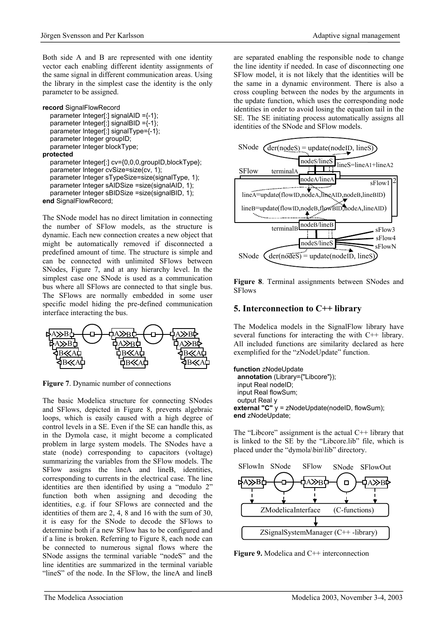Both side A and B are represented with one identity vector each enabling different identity assignments of the same signal in different communication areas. Using the library in the simplest case the identity is the only parameter to be assigned.

```
record SignalFlowRecord 
   parameter Integer[:] signalAID ={-1}; 
   parameter Integer[:] signalBID ={-1}; 
   parameter Integer[:] signalType={-1}; 
   parameter Integer groupID; 
   parameter Integer blockType; 
protected 
   parameter Integer[:] cv={0,0,0,groupID,blockType};
```

```
 parameter Integer cvSize=size(cv, 1); 
   parameter Integer sTypeSize=size(signalType, 1); 
   parameter Integer sAIDSize =size(signalAID, 1); 
   parameter Integer sBIDSize =size(signalBID, 1); 
end SignalFlowRecord;
```
The SNode model has no direct limitation in connecting the number of SFlow models, as the structure is dynamic. Each new connection creates a new object that might be automatically removed if disconnected a predefined amount of time. The structure is simple and can be connected with unlimited SFlows between SNodes, Figure 7, and at any hierarchy level. In the simplest case one SNode is used as a communication bus where all SFlows are connected to that single bus. The SFlows are normally embedded in some user specific model hiding the pre-defined communication interface interacting the bus.



**Figure 7**. Dynamic number of connections

The basic Modelica structure for connecting SNodes and SFlows, depicted in Figure 8, prevents algebraic loops, which is easily caused with a high degree of control levels in a SE. Even if the SE can handle this, as in the Dymola case, it might become a complicated problem in large system models. The SNodes have a state (node) corresponding to capacitors (voltage) summarizing the variables from the SFlow models. The SFlow assigns the lineA and lineB, identities, corresponding to currents in the electrical case. The line identities are then identified by using a "modulo 2" function both when assigning and decoding the identities, e.g. if four SFlows are connected and the identities of them are 2, 4, 8 and 16 with the sum of 30, it is easy for the SNode to decode the SFlows to determine both if a new SFlow has to be configured and if a line is broken. Referring to Figure 8, each node can be connected to numerous signal flows where the SNode assigns the terminal variable "nodeS" and the line identities are summarized in the terminal variable "lineS" of the node. In the SFlow, the lineA and lineB

are separated enabling the responsible node to change the line identity if needed. In case of disconnecting one SFlow model, it is not likely that the identities will be the same in a dynamic environment. There is also a cross coupling between the nodes by the arguments in the update function, which uses the corresponding node identities in order to avoid losing the equation tail in the SE. The SE initiating process automatically assigns all identities of the SNode and SFlow models.



**Figure 8**. Terminal assignments between SNodes and SFlows

## **5. Interconnection to C++ library**

The Modelica models in the SignalFlow library have several functions for interacting the with C++ library. All included functions are similarity declared as here exemplified for the "zNodeUpdate" function.

```
function zNodeUpdate 
  annotation (Library={"Libcore"}); 
  input Real nodeID; 
  input Real flowSum; 
  output Real y 
external "C" y = zNodeUpdate(nodeID, flowSum);
end zNodeUpdate;
```
The "Libcore" assignment is the actual C++ library that is linked to the SE by the "Libcore.lib" file, which is placed under the "dymola\bin\lib" directory.



**Figure 9.** Modelica and C<sup>++</sup> interconnection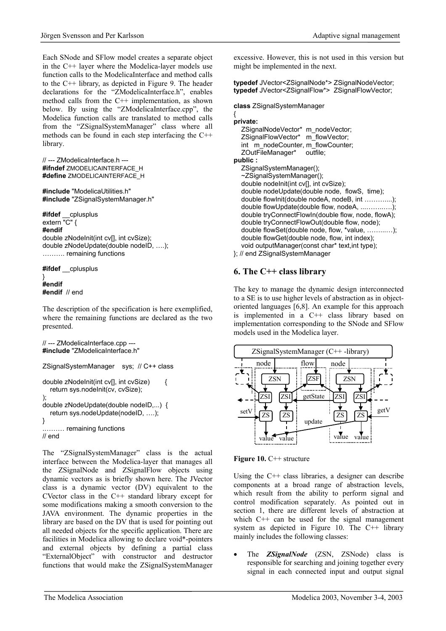Each SNode and SFlow model creates a separate object in the C++ layer where the Modelica-layer models use function calls to the ModelicaInterface and method calls to the C++ library, as depicted in Figure 9. The header declarations for the "ZModelicaInterface.h", enables method calls from the  $C++$  implementation, as shown below. By using the "ZModelicaInterface.cpp", the Modelica function calls are translated to method calls from the "ZSignalSystemManager" class where all methods can be found in each step interfacing the C++ library.

```
// --- ZModelicaInterface.h --- 
#ifndef ZMODELICAINTERFACE_H
#define ZMODELICAINTERFACE_H
```

```
#include "ModelicaUtilities.h" 
#include "ZSignalSystemManager.h"
```
**#ifdef** \_\_cplusplus extern "C" { **#endif**  double zNodeInit(int cv[], int cvSize); double zNodeUpdate(double nodeID, ….); ………. remaining functions

**#ifdef** \_\_cplusplus

#### } **#endif #endif** // end

The description of the specification is here exemplified, where the remaining functions are declared as the two presented.

```
// --- ZModelicaInterface.cpp --- 
#include "ZModelicaInterface.h"
```

```
ZSignalSystemManager sys; // C++ class 
double zNodeInit(int cv[], int cvSize) { 
   return sys.nodeInit(cv, cvSize); 
); 
double zNodeUpdate(double nodeID,...) { 
   return sys.nodeUpdate(nodeID, ….); 
} 
 .……… remaining functions 
// end
```
The "ZSignalSystemManager" class is the actual interface between the Modelica-layer that manages all the ZSignalNode and ZSignalFlow objects using dynamic vectors as is briefly shown here. The JVector class is a dynamic vector (DV) equivalent to the CVector class in the C++ standard library except for some modifications making a smooth conversion to the JAVA environment. The dynamic properties in the library are based on the DV that is used for pointing out all needed objects for the specific application. There are facilities in Modelica allowing to declare void\*-pointers and external objects by defining a partial class "ExternalObject" with constructor and destructor functions that would make the ZSignalSystemManager

excessive. However, this is not used in this version but might be implemented in the next.

**typedef** JVector<ZSignalNode\*> ZSignalNodeVector; **typedef** JVector<ZSignalFlow\*> ZSignalFlowVector;

#### **class** ZSignalSystemManager

#### { **private:**  ZSignalNodeVector\* m\_nodeVector; ZSignalFlowVector\* m\_flowVector; int m\_nodeCounter, m\_flowCounter; ZOutFileManager\* outfile; **public :**  ZSignalSystemManager(); ~ZSignalSystemManager(); double nodeInit(int cv[], int cvSize); double nodeUpdate(double node, flowS, time); double flowInit(double nodeA, nodeB, int ………....); double flowUpdate(double flow, nodeA, ...……..….); double tryConnectFlowIn(double flow, node, flowA); double tryConnectFlowOut(double flow, node); double flowSet(double node, flow, \*value, ……...…); double flowGet(double node, flow, int index); void outputManager(const char\* text,int type); }; // end ZSignalSystemManager

## **6. The C++ class library**

The key to manage the dynamic design interconnected to a SE is to use higher levels of abstraction as in objectoriented languages [6,8]. An example for this approach is implemented in a C++ class library based on implementation corresponding to the SNode and SFlow models used in the Modelica layer.





Using the  $C++$  class libraries, a designer can describe components at a broad range of abstraction levels, which result from the ability to perform signal and control modification separately. As pointed out in section 1, there are different levels of abstraction at which C<sup>++</sup> can be used for the signal management system as depicted in Figure 10. The C++ library mainly includes the following classes:

• The *ZSignalNode* (ZSN, ZSNode) class is responsible for searching and joining together every signal in each connected input and output signal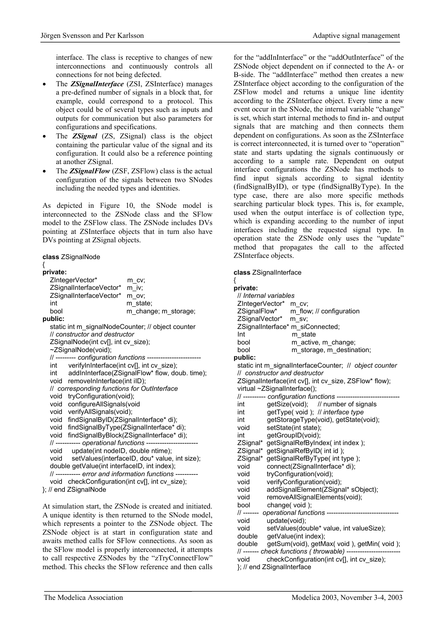interface. The class is receptive to changes of new interconnections and continuously controls all connections for not being defected.

- The *ZSignalInterface* (ZSI, ZSInterface) manages a pre-defined number of signals in a block that, for example, could correspond to a protocol. This object could be of several types such as inputs and outputs for communication but also parameters for configurations and specifications.
- The **ZSignal** (ZS, ZSignal) class is the object containing the particular value of the signal and its configuration. It could also be a reference pointing at another ZSignal.
- The **ZSignalFlow** (ZSF, ZSFlow) class is the actual configuration of the signals between two SNodes including the needed types and identities.

As depicted in Figure 10, the SNode model is interconnected to the ZSNode class and the SFlow model to the ZSFlow class. The ZSNode includes DVs pointing at ZSInterface objects that in turn also have DVs pointing at ZSignal objects.

#### **class** ZSignalNode

# {

| ZIntegerVector*<br>m cv:<br>ZSignalInterfaceVector*<br>m iv;<br>ZSignalInterfaceVector*<br>m ov;<br>int<br>m state;<br>bool<br>m_change; m_storage;<br>public:<br>static int m_signalNodeCounter; // object counter<br>Il constructor and destructor<br>ZSignalNode(int cv[], int cv size);<br>~ZSignalNode(void);<br>// --------- configuration functions ------------------------<br>verifyInInterface(int cv[], int cv_size);<br>int<br>addInInterface(ZSignalFlow* flow, doub. time);<br>int<br>removeInInterface(int iID);<br>void<br>// corresponding functions for OutInterface<br>tryConfiguration(void);<br>void<br>configureAllSignals(void<br>void<br>void verifyAllSignals(void);<br>void findSignalByID(ZSignalInterface* di);<br>findSignalByType(ZSignalInterface* di);<br>void<br>void findSignalByBlock(ZSignalInterface* di);<br>// ---------- operational functions ---------<br>void update(int nodeID, double ntime); |  |  |  |  |  |
|--------------------------------------------------------------------------------------------------------------------------------------------------------------------------------------------------------------------------------------------------------------------------------------------------------------------------------------------------------------------------------------------------------------------------------------------------------------------------------------------------------------------------------------------------------------------------------------------------------------------------------------------------------------------------------------------------------------------------------------------------------------------------------------------------------------------------------------------------------------------------------------------------------------------------------------------|--|--|--|--|--|
|                                                                                                                                                                                                                                                                                                                                                                                                                                                                                                                                                                                                                                                                                                                                                                                                                                                                                                                                            |  |  |  |  |  |
|                                                                                                                                                                                                                                                                                                                                                                                                                                                                                                                                                                                                                                                                                                                                                                                                                                                                                                                                            |  |  |  |  |  |
|                                                                                                                                                                                                                                                                                                                                                                                                                                                                                                                                                                                                                                                                                                                                                                                                                                                                                                                                            |  |  |  |  |  |
|                                                                                                                                                                                                                                                                                                                                                                                                                                                                                                                                                                                                                                                                                                                                                                                                                                                                                                                                            |  |  |  |  |  |
|                                                                                                                                                                                                                                                                                                                                                                                                                                                                                                                                                                                                                                                                                                                                                                                                                                                                                                                                            |  |  |  |  |  |
|                                                                                                                                                                                                                                                                                                                                                                                                                                                                                                                                                                                                                                                                                                                                                                                                                                                                                                                                            |  |  |  |  |  |
|                                                                                                                                                                                                                                                                                                                                                                                                                                                                                                                                                                                                                                                                                                                                                                                                                                                                                                                                            |  |  |  |  |  |
|                                                                                                                                                                                                                                                                                                                                                                                                                                                                                                                                                                                                                                                                                                                                                                                                                                                                                                                                            |  |  |  |  |  |
|                                                                                                                                                                                                                                                                                                                                                                                                                                                                                                                                                                                                                                                                                                                                                                                                                                                                                                                                            |  |  |  |  |  |
|                                                                                                                                                                                                                                                                                                                                                                                                                                                                                                                                                                                                                                                                                                                                                                                                                                                                                                                                            |  |  |  |  |  |
|                                                                                                                                                                                                                                                                                                                                                                                                                                                                                                                                                                                                                                                                                                                                                                                                                                                                                                                                            |  |  |  |  |  |
|                                                                                                                                                                                                                                                                                                                                                                                                                                                                                                                                                                                                                                                                                                                                                                                                                                                                                                                                            |  |  |  |  |  |
|                                                                                                                                                                                                                                                                                                                                                                                                                                                                                                                                                                                                                                                                                                                                                                                                                                                                                                                                            |  |  |  |  |  |
|                                                                                                                                                                                                                                                                                                                                                                                                                                                                                                                                                                                                                                                                                                                                                                                                                                                                                                                                            |  |  |  |  |  |
|                                                                                                                                                                                                                                                                                                                                                                                                                                                                                                                                                                                                                                                                                                                                                                                                                                                                                                                                            |  |  |  |  |  |
|                                                                                                                                                                                                                                                                                                                                                                                                                                                                                                                                                                                                                                                                                                                                                                                                                                                                                                                                            |  |  |  |  |  |
|                                                                                                                                                                                                                                                                                                                                                                                                                                                                                                                                                                                                                                                                                                                                                                                                                                                                                                                                            |  |  |  |  |  |
|                                                                                                                                                                                                                                                                                                                                                                                                                                                                                                                                                                                                                                                                                                                                                                                                                                                                                                                                            |  |  |  |  |  |
|                                                                                                                                                                                                                                                                                                                                                                                                                                                                                                                                                                                                                                                                                                                                                                                                                                                                                                                                            |  |  |  |  |  |
|                                                                                                                                                                                                                                                                                                                                                                                                                                                                                                                                                                                                                                                                                                                                                                                                                                                                                                                                            |  |  |  |  |  |
|                                                                                                                                                                                                                                                                                                                                                                                                                                                                                                                                                                                                                                                                                                                                                                                                                                                                                                                                            |  |  |  |  |  |
|                                                                                                                                                                                                                                                                                                                                                                                                                                                                                                                                                                                                                                                                                                                                                                                                                                                                                                                                            |  |  |  |  |  |
|                                                                                                                                                                                                                                                                                                                                                                                                                                                                                                                                                                                                                                                                                                                                                                                                                                                                                                                                            |  |  |  |  |  |
| setValues(interfaceID, dou* value, int size);<br>void                                                                                                                                                                                                                                                                                                                                                                                                                                                                                                                                                                                                                                                                                                                                                                                                                                                                                      |  |  |  |  |  |
| double getValue(int interfaceID, int index);                                                                                                                                                                                                                                                                                                                                                                                                                                                                                                                                                                                                                                                                                                                                                                                                                                                                                               |  |  |  |  |  |
| // ---------- error and information functions ----------                                                                                                                                                                                                                                                                                                                                                                                                                                                                                                                                                                                                                                                                                                                                                                                                                                                                                   |  |  |  |  |  |
| void checkConfiguration(int cv[], int cv size);<br>. 70'                                                                                                                                                                                                                                                                                                                                                                                                                                                                                                                                                                                                                                                                                                                                                                                                                                                                                   |  |  |  |  |  |

}; // end ZSignalNode

At simulation start, the ZSNode is created and initiated. A unique identity is then returned to the SNode model, which represents a pointer to the ZSNode object. The ZSNode object is at start in configuration state and awaits method calls for SFlow connections. As soon as the SFlow model is properly interconnected, it attempts to call respective ZSNodes by the "zTryConnectFlow" method. This checks the SFlow reference and then calls for the "addInInterface" or the "addOutInterface" of the ZSNode object dependent on if connected to the A- or B-side. The "addInterface" method then creates a new ZSInterface object according to the configuration of the ZSFlow model and returns a unique line identity according to the ZSInterface object. Every time a new event occur in the SNode, the internal variable "change" is set, which start internal methods to find in- and output signals that are matching and then connects them dependent on configurations. As soon as the ZSInterface is correct interconnected, it is turned over to "operation" state and starts updating the signals continuously or according to a sample rate. Dependent on output interface configurations the ZSNode has methods to find input signals according to signal identity (findSignalByID), or type (findSignalByType). In the type case, there are also more specific methods searching particular block types. This is, for example, used when the output interface is of collection type, which is expanding according to the number of input interfaces including the requested signal type. In operation state the ZSNode only uses the "update" method that propagates the call to the affected ZSInterface objects.

**class** ZSignalInterface

| {<br>private:<br>// Internal variables<br>ZIntegerVector*<br>m cv:<br>ZSignalFlow*<br>m flow; // configuration<br>ZSignalVector*<br>m sv; |  |  |  |  |  |  |  |
|-------------------------------------------------------------------------------------------------------------------------------------------|--|--|--|--|--|--|--|
|                                                                                                                                           |  |  |  |  |  |  |  |
|                                                                                                                                           |  |  |  |  |  |  |  |
|                                                                                                                                           |  |  |  |  |  |  |  |
|                                                                                                                                           |  |  |  |  |  |  |  |
|                                                                                                                                           |  |  |  |  |  |  |  |
| ZSignalInterface* m siConnected;                                                                                                          |  |  |  |  |  |  |  |
| Int<br>m state                                                                                                                            |  |  |  |  |  |  |  |
| bool<br>m_active, m_change;                                                                                                               |  |  |  |  |  |  |  |
| bool<br>m_storage, m_destination;                                                                                                         |  |  |  |  |  |  |  |
| public:                                                                                                                                   |  |  |  |  |  |  |  |
| static int m_signalInterfaceCounter; // object counter                                                                                    |  |  |  |  |  |  |  |
| // constructor and destructor                                                                                                             |  |  |  |  |  |  |  |
| ZSignalInterface(int cv[], int cv size, ZSFlow* flow);                                                                                    |  |  |  |  |  |  |  |
| virtual ~ZSignalInterface();                                                                                                              |  |  |  |  |  |  |  |
| // --------- configuration functions -------                                                                                              |  |  |  |  |  |  |  |
| getSize(void); // number of signals<br>int                                                                                                |  |  |  |  |  |  |  |
| getType(void); // interface type<br>int                                                                                                   |  |  |  |  |  |  |  |
| getStorageType(void), getState(void);<br>int                                                                                              |  |  |  |  |  |  |  |
| setState(int state);<br>void                                                                                                              |  |  |  |  |  |  |  |
| getGroupID(void);<br>int                                                                                                                  |  |  |  |  |  |  |  |
| ZSignal* getSignalRefByIndex( int index );                                                                                                |  |  |  |  |  |  |  |
| ZSignal*<br>getSignalRefByID( int id );                                                                                                   |  |  |  |  |  |  |  |
| ZSignal*<br>getSignalRefByType(int type);                                                                                                 |  |  |  |  |  |  |  |
| void<br>connect(ZSignalInterface* di);                                                                                                    |  |  |  |  |  |  |  |
| tryConfiguration(void);<br>void                                                                                                           |  |  |  |  |  |  |  |
| verifyConfiguration(void);<br>void                                                                                                        |  |  |  |  |  |  |  |
| addSignalElement(ZSignal* sObject);<br>void                                                                                               |  |  |  |  |  |  |  |
| removeAllSignalElements(void);<br>void                                                                                                    |  |  |  |  |  |  |  |
| bool<br>change(void);<br>// -------                                                                                                       |  |  |  |  |  |  |  |
| operational functions --------------------------<br>void                                                                                  |  |  |  |  |  |  |  |
| update(void);<br>setValues(double* value, int valueSize);<br>void                                                                         |  |  |  |  |  |  |  |
| getValue(int index);<br>double                                                                                                            |  |  |  |  |  |  |  |
| double<br>getSum(void), getMax( void), getMin( void);                                                                                     |  |  |  |  |  |  |  |
| // ------- check functions (throwable) --------                                                                                           |  |  |  |  |  |  |  |
| checkConfiguration(int cv[], int cv size);<br>void                                                                                        |  |  |  |  |  |  |  |
| }; // end ZSignalInterface                                                                                                                |  |  |  |  |  |  |  |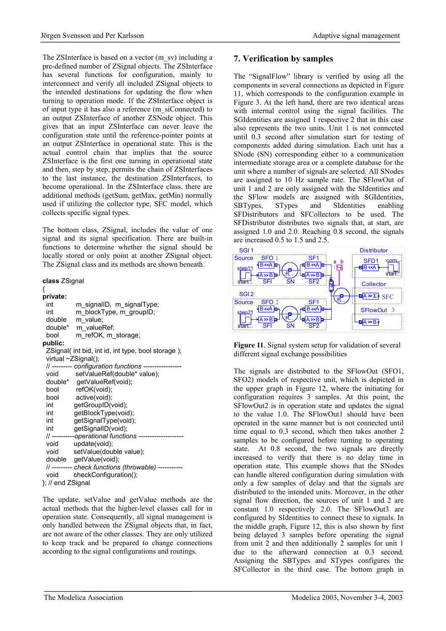The ZSInterface is based on a vector (m\_sv) including a pre-defined number of ZSignal objects. The ZSInterface has several functions for configuration, mainly to interconnect and verify all included ZSignal objects to the intended destinations for updating the flow when turning to operation mode. If the ZSInterface object is of input type it has also a reference (m\_siConnected) to an output ZSInterface of another ZSNode object. This gives that an input ZSInterface can never leave the configuration state until the reference-pointer points at an output ZSInterface in operational state. This is the actual control chain that implies that the source ZSInterface is the first one turning in operational state and then, step by step, permits the chain of ZSInterfaces to the last instance, the destination ZSInterfaces, to become operational. In the ZSInterface class, there are additional methods (getSum, getMax, getMin) normally used if utilizing the collector type, SFC model, which collects specific signal types.

The bottom class, ZSignal, includes the value of one signal and its signal specification. There are built-in functions to determine whether the signal should be locally stored or only point at another ZSignal object. The ZSignal class and its methods are shown beneath.

**class** ZSignal

| {                                                 |                                                         |  |  |  |  |  |  |
|---------------------------------------------------|---------------------------------------------------------|--|--|--|--|--|--|
| private:                                          |                                                         |  |  |  |  |  |  |
| int                                               | m signalID, m signalType;                               |  |  |  |  |  |  |
| int                                               | m_blockType, m_groupID;                                 |  |  |  |  |  |  |
| double                                            | m value;                                                |  |  |  |  |  |  |
|                                                   | double* m valueRef;                                     |  |  |  |  |  |  |
| bool                                              | m refOK, m_storage;                                     |  |  |  |  |  |  |
| public:                                           |                                                         |  |  |  |  |  |  |
| ZSignal(int bid, int id, int type, bool storage); |                                                         |  |  |  |  |  |  |
|                                                   | virtual $\neg Z{\rm Signal}$ ;                          |  |  |  |  |  |  |
|                                                   | // --------- configuration functions -----------------  |  |  |  |  |  |  |
| void                                              | setValueRef(double* value);                             |  |  |  |  |  |  |
|                                                   | double* getValueRef(void);                              |  |  |  |  |  |  |
| bool                                              | refOK(void);                                            |  |  |  |  |  |  |
|                                                   | bool active(void);                                      |  |  |  |  |  |  |
| int                                               | getGroupID(void);                                       |  |  |  |  |  |  |
| int                                               | getBlockType(void);                                     |  |  |  |  |  |  |
| int                                               | getSignalType(void);                                    |  |  |  |  |  |  |
| <b>int</b>                                        | getSignalID(void);                                      |  |  |  |  |  |  |
|                                                   | // ----------operational functions -------------------- |  |  |  |  |  |  |
| void                                              | update(void);                                           |  |  |  |  |  |  |
| void                                              | setValue(double value);                                 |  |  |  |  |  |  |
|                                                   | double getValue(void);                                  |  |  |  |  |  |  |
|                                                   | // --------- check functions (throwable) -----------    |  |  |  |  |  |  |
| void                                              | checkConfiguration();                                   |  |  |  |  |  |  |
| }; // end ZSignal                                 |                                                         |  |  |  |  |  |  |

The update, setValue and getValue methods are the actual methods that the higher-level classes call for in operation state. Consequently, all signal management is only handled between the ZSignal objects that, in fact, are not aware of the other classes. They are only utilized to keep track and be prepared to change connections according to the signal configurations and routings.

## **7. Verification by samples**

The "SignalFlow" library is verified by using all the components in several connections as depicted in Figure 11, which corresponds to the configuration example in Figure 3. At the left hand, there are two identical areas with internal control using the signal facilities. The SGIdentities are assigned 1 respective 2 that in this case also represents the two units. Unit 1 is not connected until 0.3 second after simulation start for testing of components added during simulation. Each unit has a SNode (SN) corresponding either to a communication intermediate storage area or a complete database for the unit where a number of signals are selected. All SNodes are assigned to 10 Hz sample rate. The SFlowOut of unit 1 and 2 are only assigned with the SIdentities and the SFlow models are assigned with SGIdentities, SBTypes, STypes and SIdentities enabling SFDistributors and SFCollectors to be used. The SFDistributor distributes two signals that, at start, are assigned 1.0 and 2.0. Reaching 0.8 second, the signals are increased 0.5 to 1.5 and 2.5.



**Figure 11**. Signal system setup for validation of several different signal exchange possibilities

The signals are distributed to the SFlowOut (SFO1, SFO2) models of respective unit, which is depicted in the upper graph in Figure 12, where the initiating for configuration requires 3 samples. At this point, the SFlowOut2 is in operation state and updates the signal to the value 1.0. The SFlowOut1 should have been operated in the same manner but is not connected until time equal to 0.3 second, which then takes another 2 samples to be configured before turning to operating state. At 0.8 second, the two signals are directly increased to verify that there is no delay time in operation state. This example shows that the SNodes can handle altered configuration during simulation with only a few samples of delay and that the signals are distributed to the intended units. Moreover, in the other signal flow direction, the sources of unit 1 and 2 are constant 1.0 respectively 2.0. The SFlowOut3 are configured by SIdentities to connect these to signals. In the middle graph, Figure 12, this is also shown by first being delayed 3 samples before operating the signal from unit 2 and then additionally 2 samples for unit 1 due to the afterward connection at 0.3 second. Assigning the SBTypes and STypes configures the SFCollector in the third case. The bottom graph in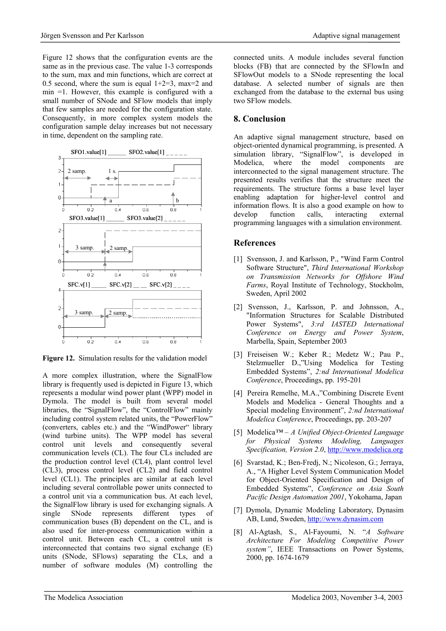Figure 12 shows that the configuration events are the same as in the previous case. The value 1-3 corresponds to the sum, max and min functions, which are correct at 0.5 second, where the sum is equal  $1+2=3$ , max=2 and min =1. However, this example is configured with a small number of SNode and SFlow models that imply that few samples are needed for the configuration state. Consequently, in more complex system models the configuration sample delay increases but not necessary in time, dependent on the sampling rate.



**Figure 12.** Simulation results for the validation model

A more complex illustration, where the SignalFlow library is frequently used is depicted in Figure 13, which represents a modular wind power plant (WPP) model in Dymola. The model is built from several model libraries, the "SignalFlow", the "ControlFlow" mainly including control system related units, the "PowerFlow" (converters, cables etc.) and the "WindPower" library (wind turbine units). The WPP model has several control unit levels and consequently several communication levels (CL). The four CLs included are the production control level (CL4), plant control level (CL3), process control level (CL2) and field control level (CL1). The principles are similar at each level including several controllable power units connected to a control unit via a communication bus. At each level, the SignalFlow library is used for exchanging signals. A single SNode represents different types of communication buses (B) dependent on the CL, and is also used for inter-process communication within a control unit. Between each CL, a control unit is interconnected that contains two signal exchange (E) units (SNode, SFlows) separating the CLs, and a number of software modules (M) controlling the connected units. A module includes several function blocks (FB) that are connected by the SFlowIn and SFlowOut models to a SNode representing the local database. A selected number of signals are then exchanged from the database to the external bus using two SFlow models.

## **8. Conclusion**

An adaptive signal management structure, based on object-oriented dynamical programming, is presented. A simulation library, "SignalFlow", is developed in Modelica, where the model components are interconnected to the signal management structure. The presented results verifies that the structure meet the requirements. The structure forms a base level layer enabling adaptation for higher-level control and information flows. It is also a good example on how to develop function calls, interacting external programming languages with a simulation environment.

## **References**

- [1] Svensson, J. and Karlsson, P., "Wind Farm Control" Software Structure", *Third International Workshop on Transmission Networks for Offshore Wind Farms*, Royal Institute of Technology, Stockholm, Sweden, April 2002
- [2] Svensson, J., Karlsson, P. and Johnsson, A., "Information Structures for Scalable Distributed Power Systems", *3:rd IASTED International Conference on Energy and Power System*, Marbella, Spain, September 2003
- [3] Freiseisen W.; Keber R.; Medetz W.; Pau P., Stelzmueller D.,"Using Modelica for Testing Embedded Systems", *2:nd International Modelica Conference*, Proceedings, pp. 195-201
- [4] Pereira Remelhe, M.A.,"Combining Discrete Event Models and Modelica - General Thoughts and a Special modeling Environment", *2:nd International Modelica Conference*, Proceedings, pp. 203-207
- [5] Modelica*™ A Unified Object-Oriented Language for Physical Systems Modeling, Languages Specification, Version 2.0*, http://www.modelica.org
- [6] Svarstad, K.; Ben-Fredj, N.; Nicoleson, G.; Jerraya, A., "A Higher Level System Communication Model for Object-Oriented Specification and Design of Embedded Systems", *Conference on Asia South Pacific Design Automation 2001*, Yokohama, Japan
- [7] Dymola, Dynamic Modeling Laboratory, Dynasim AB, Lund, Sweden, http://www.dynasim.com
- [8] Al-Agtash, S., Al-Fayoumi, N. "*A Software Architecture For Modeling Competitive Power system"*, IEEE Transactions on Power Systems, 2000, pp. 1674-1679